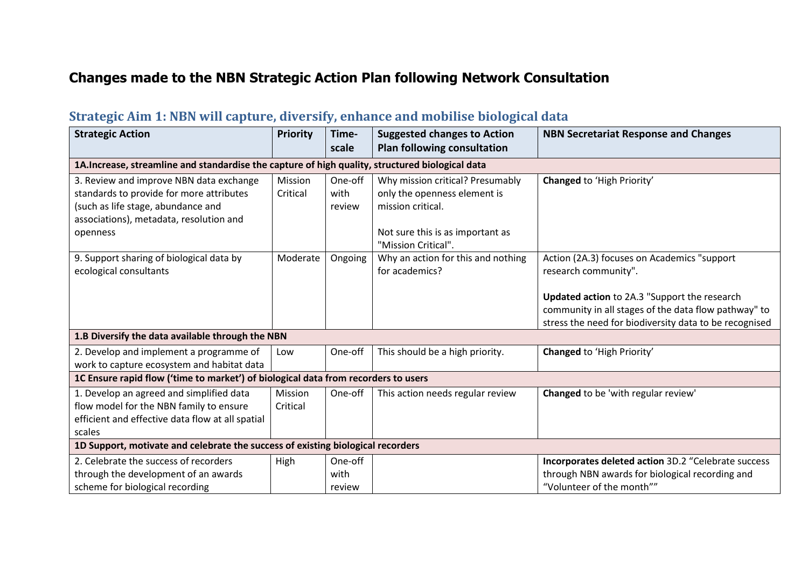### **Changes made to the NBN Strategic Action Plan following Network Consultation**

### **Strategic Aim 1: NBN will capture, diversify, enhance and mobilise biological data**

| <b>Strategic Action</b>                                                            | <b>Priority</b>                                                                                  | Time-<br>scale | <b>Suggested changes to Action</b> | <b>NBN Secretariat Response and Changes</b>            |  |  |  |
|------------------------------------------------------------------------------------|--------------------------------------------------------------------------------------------------|----------------|------------------------------------|--------------------------------------------------------|--|--|--|
|                                                                                    |                                                                                                  |                | <b>Plan following consultation</b> |                                                        |  |  |  |
|                                                                                    | 1A. Increase, streamline and standardise the capture of high quality, structured biological data |                |                                    |                                                        |  |  |  |
| 3. Review and improve NBN data exchange                                            | Mission                                                                                          | One-off        | Why mission critical? Presumably   | Changed to 'High Priority'                             |  |  |  |
| standards to provide for more attributes                                           | Critical                                                                                         | with           | only the openness element is       |                                                        |  |  |  |
| (such as life stage, abundance and                                                 |                                                                                                  | review         | mission critical.                  |                                                        |  |  |  |
| associations), metadata, resolution and                                            |                                                                                                  |                |                                    |                                                        |  |  |  |
| openness                                                                           |                                                                                                  |                | Not sure this is as important as   |                                                        |  |  |  |
|                                                                                    |                                                                                                  |                | "Mission Critical".                |                                                        |  |  |  |
| 9. Support sharing of biological data by                                           | Moderate                                                                                         | Ongoing        | Why an action for this and nothing | Action (2A.3) focuses on Academics "support            |  |  |  |
| ecological consultants                                                             |                                                                                                  |                | for academics?                     | research community".                                   |  |  |  |
|                                                                                    |                                                                                                  |                |                                    |                                                        |  |  |  |
|                                                                                    |                                                                                                  |                |                                    | Updated action to 2A.3 "Support the research           |  |  |  |
|                                                                                    |                                                                                                  |                |                                    | community in all stages of the data flow pathway" to   |  |  |  |
|                                                                                    |                                                                                                  |                |                                    | stress the need for biodiversity data to be recognised |  |  |  |
| 1.B Diversify the data available through the NBN                                   |                                                                                                  |                |                                    |                                                        |  |  |  |
| 2. Develop and implement a programme of                                            | Low                                                                                              | One-off        | This should be a high priority.    | Changed to 'High Priority'                             |  |  |  |
| work to capture ecosystem and habitat data                                         |                                                                                                  |                |                                    |                                                        |  |  |  |
| 1C Ensure rapid flow ('time to market') of biological data from recorders to users |                                                                                                  |                |                                    |                                                        |  |  |  |
| 1. Develop an agreed and simplified data                                           | <b>Mission</b>                                                                                   | One-off        | This action needs regular review   | Changed to be 'with regular review'                    |  |  |  |
| flow model for the NBN family to ensure                                            | Critical                                                                                         |                |                                    |                                                        |  |  |  |
| efficient and effective data flow at all spatial                                   |                                                                                                  |                |                                    |                                                        |  |  |  |
| scales                                                                             |                                                                                                  |                |                                    |                                                        |  |  |  |
| 1D Support, motivate and celebrate the success of existing biological recorders    |                                                                                                  |                |                                    |                                                        |  |  |  |
| 2. Celebrate the success of recorders                                              | High                                                                                             | One-off        |                                    | Incorporates deleted action 3D.2 "Celebrate success    |  |  |  |
| through the development of an awards                                               |                                                                                                  | with           |                                    | through NBN awards for biological recording and        |  |  |  |
| scheme for biological recording                                                    |                                                                                                  | review         |                                    | "Volunteer of the month""                              |  |  |  |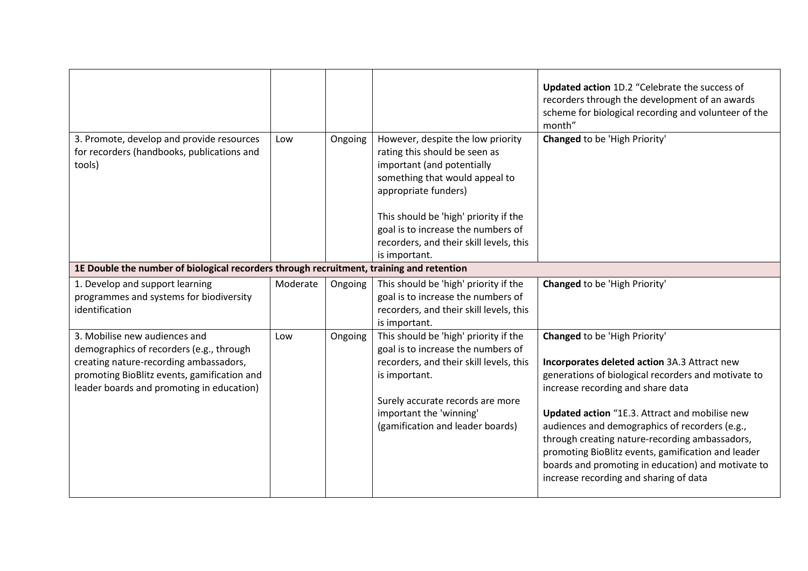| 3. Promote, develop and provide resources                                                                                                                                                                       | Low      | Ongoing | However, despite the low priority                                                                                                                                                                                                          | <b>Updated action 1D.2 "Celebrate the success of</b><br>recorders through the development of an awards<br>scheme for biological recording and volunteer of the<br>month"<br>Changed to be 'High Priority'                                                                                                                                                                                                                                                                                    |
|-----------------------------------------------------------------------------------------------------------------------------------------------------------------------------------------------------------------|----------|---------|--------------------------------------------------------------------------------------------------------------------------------------------------------------------------------------------------------------------------------------------|----------------------------------------------------------------------------------------------------------------------------------------------------------------------------------------------------------------------------------------------------------------------------------------------------------------------------------------------------------------------------------------------------------------------------------------------------------------------------------------------|
| for recorders (handbooks, publications and<br>tools)                                                                                                                                                            |          |         | rating this should be seen as<br>important (and potentially<br>something that would appeal to<br>appropriate funders)<br>This should be 'high' priority if the                                                                             |                                                                                                                                                                                                                                                                                                                                                                                                                                                                                              |
|                                                                                                                                                                                                                 |          |         | goal is to increase the numbers of<br>recorders, and their skill levels, this<br>is important.                                                                                                                                             |                                                                                                                                                                                                                                                                                                                                                                                                                                                                                              |
| 1E Double the number of biological recorders through recruitment, training and retention                                                                                                                        |          |         |                                                                                                                                                                                                                                            |                                                                                                                                                                                                                                                                                                                                                                                                                                                                                              |
| 1. Develop and support learning<br>programmes and systems for biodiversity<br>identification                                                                                                                    | Moderate | Ongoing | This should be 'high' priority if the<br>goal is to increase the numbers of<br>recorders, and their skill levels, this<br>is important.                                                                                                    | Changed to be 'High Priority'                                                                                                                                                                                                                                                                                                                                                                                                                                                                |
| 3. Mobilise new audiences and<br>demographics of recorders (e.g., through<br>creating nature-recording ambassadors,<br>promoting BioBlitz events, gamification and<br>leader boards and promoting in education) | Low      | Ongoing | This should be 'high' priority if the<br>goal is to increase the numbers of<br>recorders, and their skill levels, this<br>is important.<br>Surely accurate records are more<br>important the 'winning'<br>(gamification and leader boards) | <b>Changed to be 'High Priority'</b><br>Incorporates deleted action 3A.3 Attract new<br>generations of biological recorders and motivate to<br>increase recording and share data<br>Updated action "1E.3. Attract and mobilise new<br>audiences and demographics of recorders (e.g.,<br>through creating nature-recording ambassadors,<br>promoting BioBlitz events, gamification and leader<br>boards and promoting in education) and motivate to<br>increase recording and sharing of data |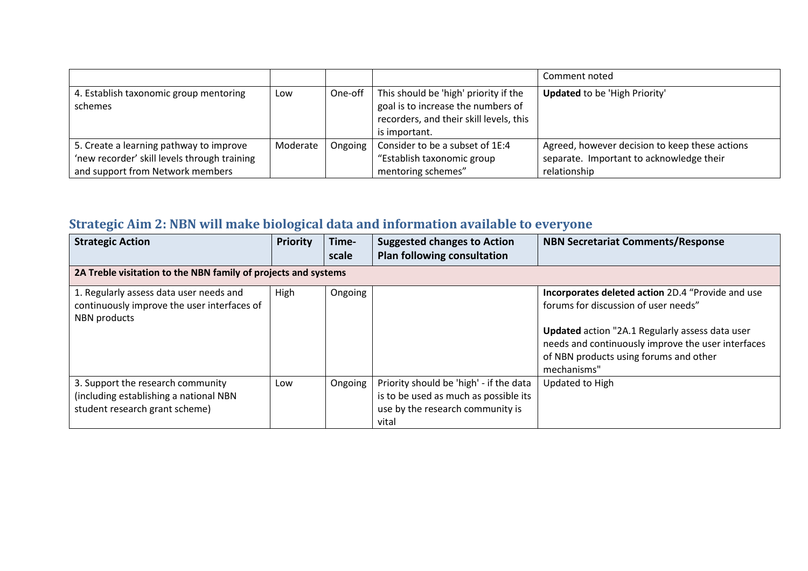|                                              |          |         |                                         | Comment noted                                  |
|----------------------------------------------|----------|---------|-----------------------------------------|------------------------------------------------|
| 4. Establish taxonomic group mentoring       | Low      | One-off | This should be 'high' priority if the   | <b>Updated</b> to be 'High Priority'           |
| schemes                                      |          |         | goal is to increase the numbers of      |                                                |
|                                              |          |         | recorders, and their skill levels, this |                                                |
|                                              |          |         | is important.                           |                                                |
| 5. Create a learning pathway to improve      | Moderate | Ongoing | Consider to be a subset of 1E:4         | Agreed, however decision to keep these actions |
| 'new recorder' skill levels through training |          |         | "Establish taxonomic group              | separate. Important to acknowledge their       |
| and support from Network members             |          |         | mentoring schemes"                      | relationship                                   |

# **Strategic Aim 2: NBN will make biological data and information available to everyone**

| <b>Strategic Action</b>                                                                                       | <b>Priority</b> | Time-<br>scale | <b>Suggested changes to Action</b><br><b>Plan following consultation</b>                                                      | <b>NBN Secretariat Comments/Response</b>                                                                                                                                                                                                                    |  |  |  |
|---------------------------------------------------------------------------------------------------------------|-----------------|----------------|-------------------------------------------------------------------------------------------------------------------------------|-------------------------------------------------------------------------------------------------------------------------------------------------------------------------------------------------------------------------------------------------------------|--|--|--|
| 2A Treble visitation to the NBN family of projects and systems                                                |                 |                |                                                                                                                               |                                                                                                                                                                                                                                                             |  |  |  |
| 1. Regularly assess data user needs and<br>continuously improve the user interfaces of<br>NBN products        | High            | Ongoing        |                                                                                                                               | Incorporates deleted action 2D.4 "Provide and use<br>forums for discussion of user needs"<br>Updated action "2A.1 Regularly assess data user<br>needs and continuously improve the user interfaces<br>of NBN products using forums and other<br>mechanisms" |  |  |  |
| 3. Support the research community<br>(including establishing a national NBN<br>student research grant scheme) | Low             | Ongoing        | Priority should be 'high' - if the data<br>is to be used as much as possible its<br>use by the research community is<br>vital | Updated to High                                                                                                                                                                                                                                             |  |  |  |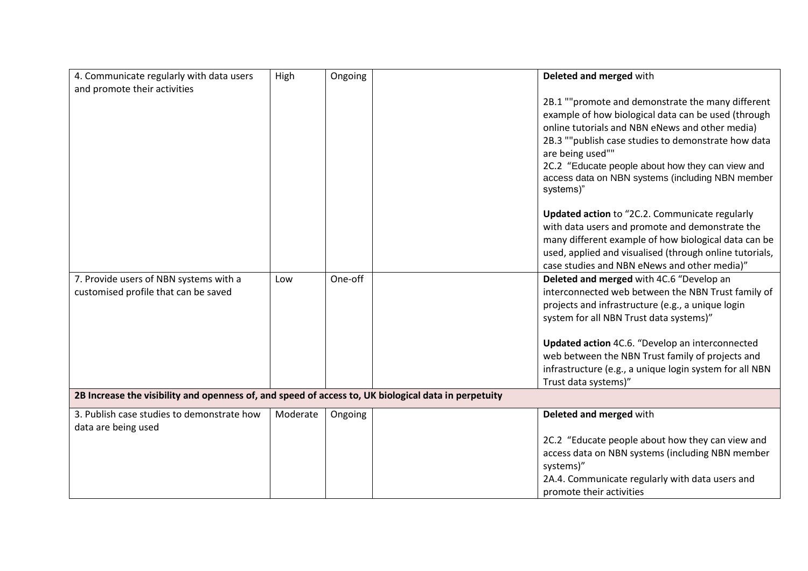| 4. Communicate regularly with data users                                                             | High     | Ongoing | Deleted and merged with                                       |
|------------------------------------------------------------------------------------------------------|----------|---------|---------------------------------------------------------------|
| and promote their activities                                                                         |          |         |                                                               |
|                                                                                                      |          |         | 2B.1 ""promote and demonstrate the many different             |
|                                                                                                      |          |         | example of how biological data can be used (through           |
|                                                                                                      |          |         | online tutorials and NBN eNews and other media)               |
|                                                                                                      |          |         | 2B.3 ""publish case studies to demonstrate how data           |
|                                                                                                      |          |         | are being used""                                              |
|                                                                                                      |          |         | 2C.2 "Educate people about how they can view and              |
|                                                                                                      |          |         | access data on NBN systems (including NBN member<br>systems)" |
|                                                                                                      |          |         | Updated action to "2C.2. Communicate regularly                |
|                                                                                                      |          |         | with data users and promote and demonstrate the               |
|                                                                                                      |          |         | many different example of how biological data can be          |
|                                                                                                      |          |         | used, applied and visualised (through online tutorials,       |
|                                                                                                      |          |         | case studies and NBN eNews and other media)"                  |
| 7. Provide users of NBN systems with a                                                               | Low      | One-off | Deleted and merged with 4C.6 "Develop an                      |
| customised profile that can be saved                                                                 |          |         | interconnected web between the NBN Trust family of            |
|                                                                                                      |          |         |                                                               |
|                                                                                                      |          |         | projects and infrastructure (e.g., a unique login             |
|                                                                                                      |          |         | system for all NBN Trust data systems)"                       |
|                                                                                                      |          |         | Updated action 4C.6. "Develop an interconnected               |
|                                                                                                      |          |         | web between the NBN Trust family of projects and              |
|                                                                                                      |          |         | infrastructure (e.g., a unique login system for all NBN       |
|                                                                                                      |          |         | Trust data systems)"                                          |
| 2B Increase the visibility and openness of, and speed of access to, UK biological data in perpetuity |          |         |                                                               |
| 3. Publish case studies to demonstrate how                                                           | Moderate | Ongoing | Deleted and merged with                                       |
| data are being used                                                                                  |          |         |                                                               |
|                                                                                                      |          |         | 2C.2 "Educate people about how they can view and              |
|                                                                                                      |          |         | access data on NBN systems (including NBN member              |
|                                                                                                      |          |         | systems)"                                                     |
|                                                                                                      |          |         | 2A.4. Communicate regularly with data users and               |
|                                                                                                      |          |         | promote their activities                                      |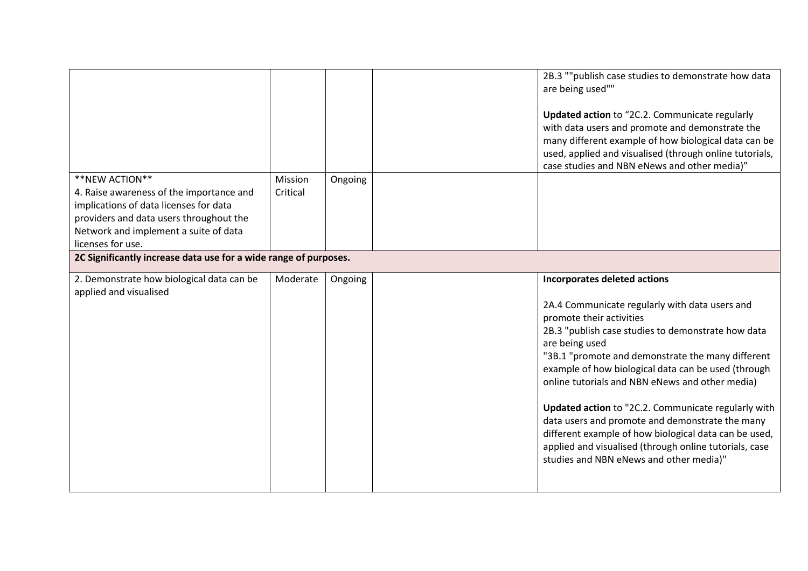|                                                                  |          |         | 2B.3 ""publish case studies to demonstrate how data     |
|------------------------------------------------------------------|----------|---------|---------------------------------------------------------|
|                                                                  |          |         | are being used""                                        |
|                                                                  |          |         |                                                         |
|                                                                  |          |         |                                                         |
|                                                                  |          |         | Updated action to "2C.2. Communicate regularly          |
|                                                                  |          |         | with data users and promote and demonstrate the         |
|                                                                  |          |         | many different example of how biological data can be    |
|                                                                  |          |         | used, applied and visualised (through online tutorials, |
|                                                                  |          |         | case studies and NBN eNews and other media)"            |
| **NEW ACTION**                                                   | Mission  | Ongoing |                                                         |
|                                                                  |          |         |                                                         |
| 4. Raise awareness of the importance and                         | Critical |         |                                                         |
| implications of data licenses for data                           |          |         |                                                         |
| providers and data users throughout the                          |          |         |                                                         |
| Network and implement a suite of data                            |          |         |                                                         |
| licenses for use.                                                |          |         |                                                         |
| 2C Significantly increase data use for a wide range of purposes. |          |         |                                                         |
|                                                                  |          |         |                                                         |
| 2. Demonstrate how biological data can be                        | Moderate | Ongoing | Incorporates deleted actions                            |
|                                                                  |          |         |                                                         |
|                                                                  |          |         |                                                         |
| applied and visualised                                           |          |         |                                                         |
|                                                                  |          |         | 2A.4 Communicate regularly with data users and          |
|                                                                  |          |         | promote their activities                                |
|                                                                  |          |         | 2B.3 "publish case studies to demonstrate how data      |
|                                                                  |          |         |                                                         |
|                                                                  |          |         | are being used                                          |
|                                                                  |          |         | "3B.1 "promote and demonstrate the many different       |
|                                                                  |          |         | example of how biological data can be used (through     |
|                                                                  |          |         | online tutorials and NBN eNews and other media)         |
|                                                                  |          |         |                                                         |
|                                                                  |          |         | Updated action to "2C.2. Communicate regularly with     |
|                                                                  |          |         | data users and promote and demonstrate the many         |
|                                                                  |          |         |                                                         |
|                                                                  |          |         | different example of how biological data can be used,   |
|                                                                  |          |         | applied and visualised (through online tutorials, case  |
|                                                                  |          |         | studies and NBN eNews and other media)"                 |
|                                                                  |          |         |                                                         |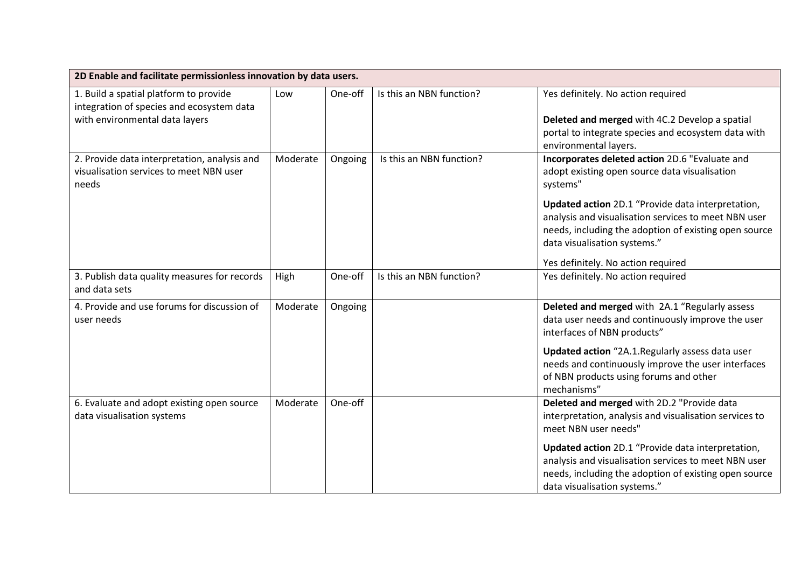| 2D Enable and facilitate permissionless innovation by data users.                                                     |          |         |                          |                                                                                                                                                                                                                                                                                                                                                         |
|-----------------------------------------------------------------------------------------------------------------------|----------|---------|--------------------------|---------------------------------------------------------------------------------------------------------------------------------------------------------------------------------------------------------------------------------------------------------------------------------------------------------------------------------------------------------|
| 1. Build a spatial platform to provide<br>integration of species and ecosystem data<br>with environmental data layers | Low      | One-off | Is this an NBN function? | Yes definitely. No action required<br>Deleted and merged with 4C.2 Develop a spatial<br>portal to integrate species and ecosystem data with<br>environmental layers.                                                                                                                                                                                    |
| 2. Provide data interpretation, analysis and<br>visualisation services to meet NBN user<br>needs                      | Moderate | Ongoing | Is this an NBN function? | Incorporates deleted action 2D.6 "Evaluate and<br>adopt existing open source data visualisation<br>systems"<br>Updated action 2D.1 "Provide data interpretation,<br>analysis and visualisation services to meet NBN user<br>needs, including the adoption of existing open source<br>data visualisation systems."<br>Yes definitely. No action required |
| 3. Publish data quality measures for records<br>and data sets                                                         | High     | One-off | Is this an NBN function? | Yes definitely. No action required                                                                                                                                                                                                                                                                                                                      |
| 4. Provide and use forums for discussion of<br>user needs                                                             | Moderate | Ongoing |                          | Deleted and merged with 2A.1 "Regularly assess<br>data user needs and continuously improve the user<br>interfaces of NBN products"<br>Updated action "2A.1.Regularly assess data user<br>needs and continuously improve the user interfaces<br>of NBN products using forums and other<br>mechanisms"                                                    |
| 6. Evaluate and adopt existing open source<br>data visualisation systems                                              | Moderate | One-off |                          | Deleted and merged with 2D.2 "Provide data<br>interpretation, analysis and visualisation services to<br>meet NBN user needs"<br>Updated action 2D.1 "Provide data interpretation,<br>analysis and visualisation services to meet NBN user<br>needs, including the adoption of existing open source<br>data visualisation systems."                      |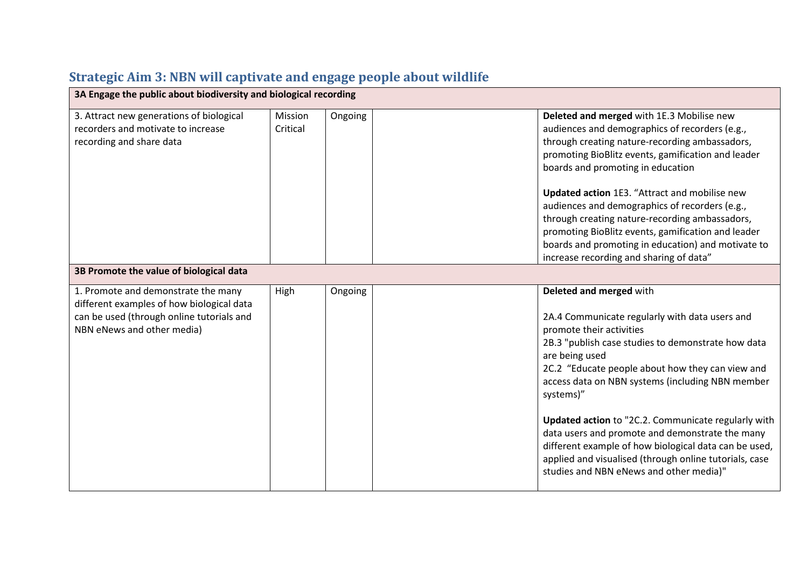## **Strategic Aim 3: NBN will captivate and engage people about wildlife**

| 3A Engage the public about biodiversity and biological recording                                                                                            |                     |         |                                                                                                                                                                                                                                                                                                                                                                                                                                                                                                                                                                            |  |  |  |
|-------------------------------------------------------------------------------------------------------------------------------------------------------------|---------------------|---------|----------------------------------------------------------------------------------------------------------------------------------------------------------------------------------------------------------------------------------------------------------------------------------------------------------------------------------------------------------------------------------------------------------------------------------------------------------------------------------------------------------------------------------------------------------------------------|--|--|--|
| 3. Attract new generations of biological<br>recorders and motivate to increase<br>recording and share data                                                  | Mission<br>Critical | Ongoing | Deleted and merged with 1E.3 Mobilise new<br>audiences and demographics of recorders (e.g.,<br>through creating nature-recording ambassadors,<br>promoting BioBlitz events, gamification and leader<br>boards and promoting in education<br>Updated action 1E3. "Attract and mobilise new<br>audiences and demographics of recorders (e.g.,<br>through creating nature-recording ambassadors,<br>promoting BioBlitz events, gamification and leader<br>boards and promoting in education) and motivate to                                                                  |  |  |  |
|                                                                                                                                                             |                     |         | increase recording and sharing of data"                                                                                                                                                                                                                                                                                                                                                                                                                                                                                                                                    |  |  |  |
| 3B Promote the value of biological data                                                                                                                     |                     |         |                                                                                                                                                                                                                                                                                                                                                                                                                                                                                                                                                                            |  |  |  |
| 1. Promote and demonstrate the many<br>different examples of how biological data<br>can be used (through online tutorials and<br>NBN eNews and other media) | High                | Ongoing | Deleted and merged with<br>2A.4 Communicate regularly with data users and<br>promote their activities<br>2B.3 "publish case studies to demonstrate how data<br>are being used<br>2C.2 "Educate people about how they can view and<br>access data on NBN systems (including NBN member<br>systems)"<br>Updated action to "2C.2. Communicate regularly with<br>data users and promote and demonstrate the many<br>different example of how biological data can be used,<br>applied and visualised (through online tutorials, case<br>studies and NBN eNews and other media)" |  |  |  |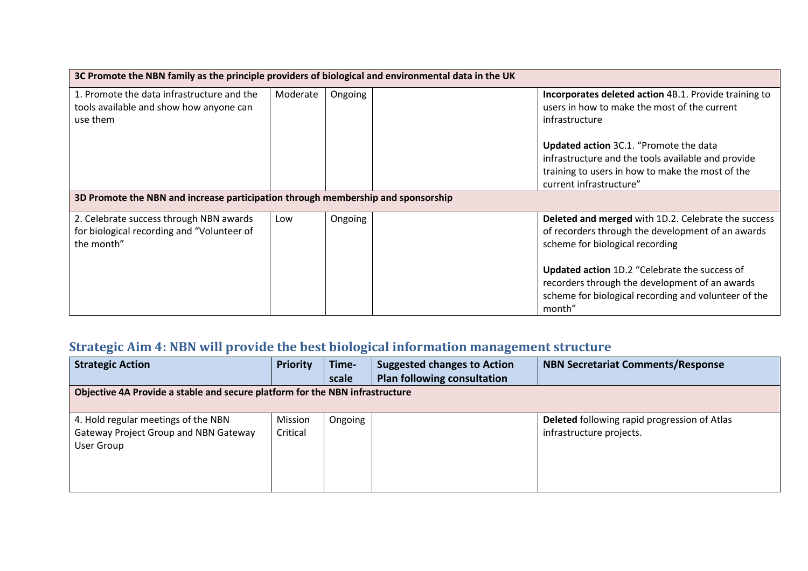| 3C Promote the NBN family as the principle providers of biological and environmental data in the UK |          |         |                                                                                                                                                                             |  |
|-----------------------------------------------------------------------------------------------------|----------|---------|-----------------------------------------------------------------------------------------------------------------------------------------------------------------------------|--|
| 1. Promote the data infrastructure and the<br>tools available and show how anyone can<br>use them   | Moderate | Ongoing | Incorporates deleted action 4B.1. Provide training to<br>users in how to make the most of the current<br>infrastructure                                                     |  |
|                                                                                                     |          |         | Updated action 3C.1. "Promote the data<br>infrastructure and the tools available and provide<br>training to users in how to make the most of the<br>current infrastructure" |  |
| 3D Promote the NBN and increase participation through membership and sponsorship                    |          |         |                                                                                                                                                                             |  |
| 2. Celebrate success through NBN awards<br>for biological recording and "Volunteer of<br>the month" | Low      | Ongoing | Deleted and merged with 1D.2. Celebrate the success<br>of recorders through the development of an awards<br>scheme for biological recording                                 |  |
|                                                                                                     |          |         | <b>Updated action 1D.2 "Celebrate the success of</b><br>recorders through the development of an awards<br>scheme for biological recording and volunteer of the<br>month"    |  |

### **Strategic Aim 4: NBN will provide the best biological information management structure**

| <b>Strategic Action</b>                                                      | <b>Priority</b> | Time-   | <b>Suggested changes to Action</b> | <b>NBN Secretariat Comments/Response</b>     |  |  |  |
|------------------------------------------------------------------------------|-----------------|---------|------------------------------------|----------------------------------------------|--|--|--|
|                                                                              |                 | scale   | <b>Plan following consultation</b> |                                              |  |  |  |
| Objective 4A Provide a stable and secure platform for the NBN infrastructure |                 |         |                                    |                                              |  |  |  |
|                                                                              |                 |         |                                    |                                              |  |  |  |
| 4. Hold regular meetings of the NBN                                          | Mission         | Ongoing |                                    | Deleted following rapid progression of Atlas |  |  |  |
| Gateway Project Group and NBN Gateway                                        | Critical        |         |                                    | infrastructure projects.                     |  |  |  |
| User Group                                                                   |                 |         |                                    |                                              |  |  |  |
|                                                                              |                 |         |                                    |                                              |  |  |  |
|                                                                              |                 |         |                                    |                                              |  |  |  |
|                                                                              |                 |         |                                    |                                              |  |  |  |